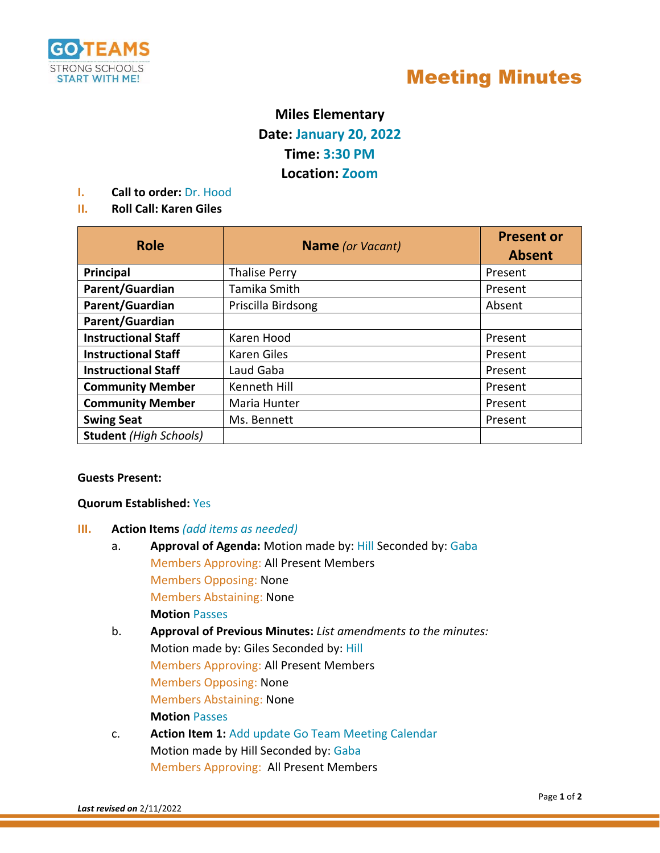

# Meeting Minutes

# **Miles Elementary Date: January 20, 2022 Time: 3:30 PM**

# **Location: Zoom**

**I. Call to order:** Dr. Hood

# **II. Roll Call: Karen Giles**

| <b>Role</b>                   | <b>Name</b> (or Vacant) | <b>Present or</b> |
|-------------------------------|-------------------------|-------------------|
|                               |                         | <b>Absent</b>     |
| Principal                     | <b>Thalise Perry</b>    | Present           |
| Parent/Guardian               | Tamika Smith            | Present           |
| Parent/Guardian               | Priscilla Birdsong      | Absent            |
| Parent/Guardian               |                         |                   |
| <b>Instructional Staff</b>    | Karen Hood              | Present           |
| <b>Instructional Staff</b>    | Karen Giles             | Present           |
| <b>Instructional Staff</b>    | Laud Gaba               | Present           |
| <b>Community Member</b>       | Kenneth Hill            | Present           |
| <b>Community Member</b>       | Maria Hunter            | Present           |
| <b>Swing Seat</b>             | Ms. Bennett             | Present           |
| <b>Student</b> (High Schools) |                         |                   |

#### **Guests Present:**

### **Quorum Established:** Yes

- **III. Action Items** *(add items as needed)*
	- a. **Approval of Agenda:** Motion made by: Hill Seconded by: Gaba Members Approving: All Present Members Members Opposing: None Members Abstaining: None **Motion** Passes
	- b. **Approval of Previous Minutes:** *List amendments to the minutes:* Motion made by: Giles Seconded by: Hill Members Approving: All Present Members Members Opposing: None Members Abstaining: None **Motion** Passes
	- c. **Action Item 1:** Add update Go Team Meeting Calendar Motion made by Hill Seconded by: Gaba Members Approving: All Present Members